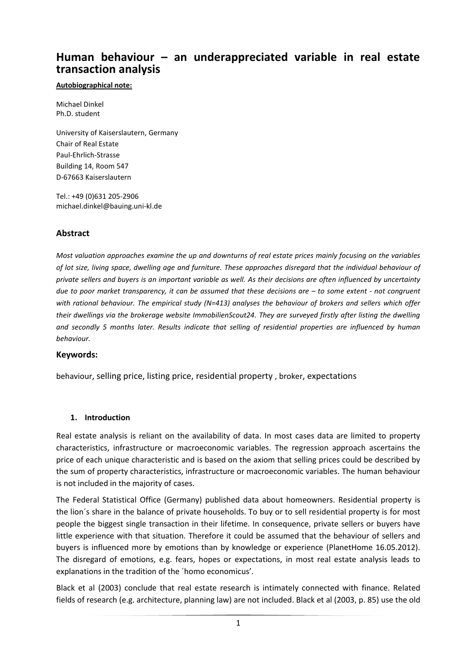# **Human behaviour – an underappreciated variable in real estate transaction analysis**

#### **Autobiographical note:**

Michael Dinkel Ph.D. student

University of Kaiserslautern, Germany Chair of Real Estate Paul-Ehrlich-Strasse Building 14, Room 547 D-67663 Kaiserslautern

Tel.: +49 (0)631 205-2906 michael.dinkel@bauing.uni-kl.de

## **Abstract**

*Most valuation approaches examine the up and downturns of real estate prices mainly focusing on the variables of lot size, living space, dwelling age and furniture. These approaches disregard that the individual behaviour of private sellers and buyers is an important variable as well. As their decisions are often influenced by uncertainty due to poor market transparency, it can be assumed that these decisions are – to some extent - not congruent with rational behaviour. The empirical study (N=413) analyses the behaviour of brokers and sellers which offer their dwellings via the brokerage website ImmobilienScout24. They are surveyed firstly after listing the dwelling and secondly 5 months later. Results indicate that selling of residential properties are influenced by human behaviour.*

### **Keywords:**

behaviour, selling price, listing price, residential property , broker, expectations

#### **1. Introduction**

Real estate analysis is reliant on the availability of data. In most cases data are limited to property characteristics, infrastructure or macroeconomic variables. The regression approach ascertains the price of each unique characteristic and is based on the axiom that selling prices could be described by the sum of property characteristics, infrastructure or macroeconomic variables. The human behaviour is not included in the majority of cases.

The Federal Statistical Office (Germany) published data about homeowners. Residential property is the lion´s share in the balance of private households. To buy or to sell residential property is for most people the biggest single transaction in their lifetime. In consequence, private sellers or buyers have little experience with that situation. Therefore it could be assumed that the behaviour of sellers and buyers is influenced more by emotions than by knowledge or experience (PlanetHome 16.05.2012). The disregard of emotions, e.g. fears, hopes or expectations, in most real estate analysis leads to explanations in the tradition of the ´homo economicus'.

Black et al (2003) conclude that real estate research is intimately connected with finance. Related fields of research (e.g. architecture, planning law) are not included. Black et al (2003, p. 85) use the old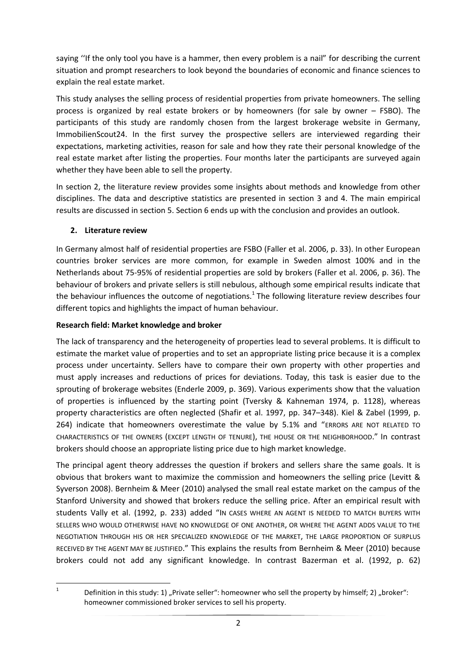saying ''If the only tool you have is a hammer, then every problem is a nail" for describing the current situation and prompt researchers to look beyond the boundaries of economic and finance sciences to explain the real estate market.

This study analyses the selling process of residential properties from private homeowners. The selling process is organized by real estate brokers or by homeowners (for sale by owner – FSBO). The participants of this study are randomly chosen from the largest brokerage website in Germany, ImmobilienScout24. In the first survey the prospective sellers are interviewed regarding their expectations, marketing activities, reason for sale and how they rate their personal knowledge of the real estate market after listing the properties. Four months later the participants are surveyed again whether they have been able to sell the property.

In section 2, the literature review provides some insights about methods and knowledge from other disciplines. The data and descriptive statistics are presented in section 3 and 4. The main empirical results are discussed in section 5. Section 6 ends up with the conclusion and provides an outlook.

### **2. Literature review**

In Germany almost half of residential properties are FSBO (Faller et al. 2006, p. 33). In other European countries broker services are more common, for example in Sweden almost 100% and in the Netherlands about 75-95% of residential properties are sold by brokers (Faller et al. 2006, p. 36). The behaviour of brokers and private sellers is still nebulous, although some empirical results indicate that the behaviour influences the outcome of negotiations.<sup>1</sup> The following literature review describes four different topics and highlights the impact of human behaviour.

### **Research field: Market knowledge and broker**

The lack of transparency and the heterogeneity of properties lead to several problems. It is difficult to estimate the market value of properties and to set an appropriate listing price because it is a complex process under uncertainty. Sellers have to compare their own property with other properties and must apply increases and reductions of prices for deviations. Today, this task is easier due to the sprouting of brokerage websites (Enderle 2009, p. 369). Various experiments show that the valuation of properties is influenced by the starting point (Tversky & Kahneman 1974, p. 1128), whereas property characteristics are often neglected (Shafir et al. 1997, pp. 347–348). Kiel & Zabel (1999, p. 264) indicate that homeowners overestimate the value by 5.1% and "ERRORS ARE NOT RELATED TO CHARACTERISTICS OF THE OWNERS (EXCEPT LENGTH OF TENURE), THE HOUSE OR THE NEIGHBORHOOD." In contrast brokers should choose an appropriate listing price due to high market knowledge.

The principal agent theory addresses the question if brokers and sellers share the same goals. It is obvious that brokers want to maximize the commission and homeowners the selling price (Levitt & Syverson 2008). Bernheim & Meer (2010) analysed the small real estate market on the campus of the Stanford University and showed that brokers reduce the selling price. After an empirical result with students Vally et al. (1992, p. 233) added "IN CASES WHERE AN AGENT IS NEEDED TO MATCH BUYERS WITH SELLERS WHO WOULD OTHERWISE HAVE NO KNOWLEDGE OF ONE ANOTHER, OR WHERE THE AGENT ADDS VALUE TO THE NEGOTIATION THROUGH HIS OR HER SPECIALIZED KNOWLEDGE OF THE MARKET, THE LARGE PROPORTION OF SURPLUS RECEIVED BY THE AGENT MAY BE JUSTIFIED." This explains the results from Bernheim & Meer (2010) because brokers could not add any significant knowledge. In contrast Bazerman et al. (1992, p. 62)

 $\frac{1}{1}$ 

Definition in this study: 1) "Private seller": homeowner who sell the property by himself; 2) "broker": homeowner commissioned broker services to sell his property.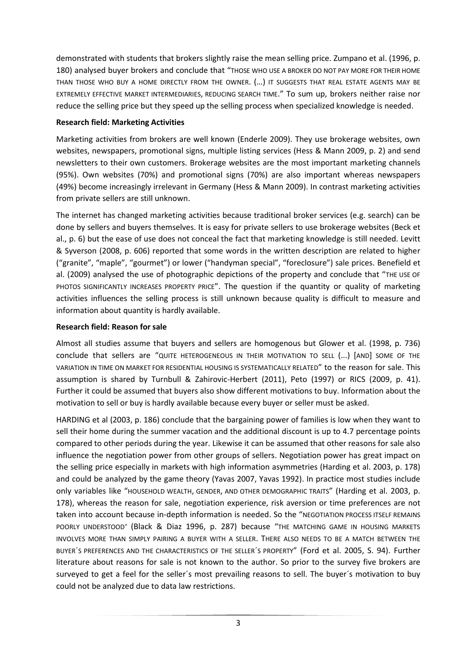demonstrated with students that brokers slightly raise the mean selling price. Zumpano et al. (1996, p. 180) analysed buyer brokers and conclude that "THOSE WHO USE A BROKER DO NOT PAY MORE FOR THEIR HOME THAN THOSE WHO BUY A HOME DIRECTLY FROM THE OWNER. (…) IT SUGGESTS THAT REAL ESTATE AGENTS MAY BE EXTREMELY EFFECTIVE MARKET INTERMEDIARIES, REDUCING SEARCH TIME." To sum up, brokers neither raise nor reduce the selling price but they speed up the selling process when specialized knowledge is needed.

#### **Research field: Marketing Activities**

Marketing activities from brokers are well known (Enderle 2009). They use brokerage websites, own websites, newspapers, promotional signs, multiple listing services (Hess & Mann 2009, p. 2) and send newsletters to their own customers. Brokerage websites are the most important marketing channels (95%). Own websites (70%) and promotional signs (70%) are also important whereas newspapers (49%) become increasingly irrelevant in Germany (Hess & Mann 2009). In contrast marketing activities from private sellers are still unknown.

The internet has changed marketing activities because traditional broker services (e.g. search) can be done by sellers and buyers themselves. It is easy for private sellers to use brokerage websites (Beck et al., p. 6) but the ease of use does not conceal the fact that marketing knowledge is still needed. Levitt & Syverson (2008, p. 606) reported that some words in the written description are related to higher ("granite", "maple", "gourmet") or lower ("handyman special", "foreclosure") sale prices. Benefield et al. (2009) analysed the use of photographic depictions of the property and conclude that "THE USE OF PHOTOS SIGNIFICANTLY INCREASES PROPERTY PRICE". The question if the quantity or quality of marketing activities influences the selling process is still unknown because quality is difficult to measure and information about quantity is hardly available.

### **Research field: Reason for sale**

Almost all studies assume that buyers and sellers are homogenous but Glower et al. (1998, p. 736) conclude that sellers are "QUITE HETEROGENEOUS IN THEIR MOTIVATION TO SELL (...) [AND] SOME OF THE VARIATION IN TIME ON MARKET FOR RESIDENTIAL HOUSING IS SYSTEMATICALLY RELATED" to the reason for sale. This assumption is shared by Turnbull & Zahirovic-Herbert (2011), Peto (1997) or RICS (2009, p. 41). Further it could be assumed that buyers also show different motivations to buy. Information about the motivation to sell or buy is hardly available because every buyer or seller must be asked.

HARDING et al (2003, p. 186) conclude that the bargaining power of families is low when they want to sell their home during the summer vacation and the additional discount is up to 4.7 percentage points compared to other periods during the year. Likewise it can be assumed that other reasons for sale also influence the negotiation power from other groups of sellers. Negotiation power has great impact on the selling price especially in markets with high information asymmetries (Harding et al. 2003, p. 178) and could be analyzed by the game theory (Yavas 2007, Yavas 1992). In practice most studies include only variables like "HOUSEHOLD WEALTH, GENDER, AND OTHER DEMOGRAPHIC TRAITS" (Harding et al. 2003, p. 178), whereas the reason for sale, negotiation experience, risk aversion or time preferences are not taken into account because in-depth information is needed. So the "NEGOTIATION PROCESS ITSELF REMAINS POORLY UNDERSTOOD" (Black & Diaz 1996, p. 287) because "THE MATCHING GAME IN HOUSING MARKETS INVOLVES MORE THAN SIMPLY PAIRING A BUYER WITH A SELLER. THERE ALSO NEEDS TO BE A MATCH BETWEEN THE BUYER´S PREFERENCES AND THE CHARACTERISTICS OF THE SELLER´S PROPERTY" (Ford et al. 2005, S. 94). Further literature about reasons for sale is not known to the author. So prior to the survey five brokers are surveyed to get a feel for the seller´s most prevailing reasons to sell. The buyer´s motivation to buy could not be analyzed due to data law restrictions.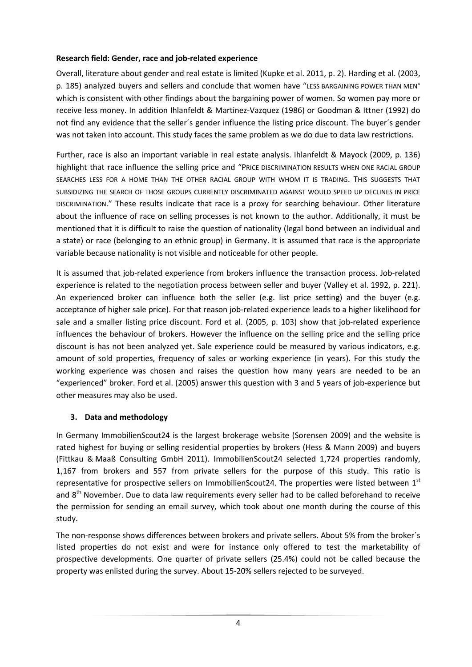### **Research field: Gender, race and job-related experience**

Overall, literature about gender and real estate is limited (Kupke et al. 2011, p. 2). Harding et al. (2003, p. 185) analyzed buyers and sellers and conclude that women have "LESS BARGAINING POWER THAN MEN" which is consistent with other findings about the bargaining power of women. So women pay more or receive less money. In addition Ihlanfeldt & Martinez-Vazquez (1986) or Goodman & Ittner (1992) do not find any evidence that the seller´s gender influence the listing price discount. The buyer´s gender was not taken into account. This study faces the same problem as we do due to data law restrictions.

Further, race is also an important variable in real estate analysis. Ihlanfeldt & Mayock (2009, p. 136) highlight that race influence the selling price and "PRICE DISCRIMINATION RESULTS WHEN ONE RACIAL GROUP SEARCHES LESS FOR A HOME THAN THE OTHER RACIAL GROUP WITH WHOM IT IS TRADING. THIS SUGGESTS THAT SUBSIDIZING THE SEARCH OF THOSE GROUPS CURRENTLY DISCRIMINATED AGAINST WOULD SPEED UP DECLINES IN PRICE DISCRIMINATION." These results indicate that race is a proxy for searching behaviour. Other literature about the influence of race on selling processes is not known to the author. Additionally, it must be mentioned that it is difficult to raise the question of nationality (legal bond between an individual and a state) or race (belonging to an ethnic group) in Germany. It is assumed that race is the appropriate variable because nationality is not visible and noticeable for other people.

It is assumed that job-related experience from brokers influence the transaction process. Job-related experience is related to the negotiation process between seller and buyer (Valley et al. 1992, p. 221). An experienced broker can influence both the seller (e.g. list price setting) and the buyer (e.g. acceptance of higher sale price). For that reason job-related experience leads to a higher likelihood for sale and a smaller listing price discount. Ford et al. (2005, p. 103) show that job-related experience influences the behaviour of brokers. However the influence on the selling price and the selling price discount is has not been analyzed yet. Sale experience could be measured by various indicators, e.g. amount of sold properties, frequency of sales or working experience (in years). For this study the working experience was chosen and raises the question how many years are needed to be an "experienced" broker. Ford et al. (2005) answer this question with 3 and 5 years of job-experience but other measures may also be used.

### **3. Data and methodology**

In Germany ImmobilienScout24 is the largest brokerage website (Sorensen 2009) and the website is rated highest for buying or selling residential properties by brokers (Hess & Mann 2009) and buyers (Fittkau & Maaß Consulting GmbH 2011). ImmobilienScout24 selected 1,724 properties randomly, 1,167 from brokers and 557 from private sellers for the purpose of this study. This ratio is representative for prospective sellers on ImmobilienScout24. The properties were listed between 1st and  $8<sup>th</sup>$  November. Due to data law requirements every seller had to be called beforehand to receive the permission for sending an email survey, which took about one month during the course of this study.

The non-response shows differences between brokers and private sellers. About 5% from the broker´s listed properties do not exist and were for instance only offered to test the marketability of prospective developments. One quarter of private sellers (25.4%) could not be called because the property was enlisted during the survey. About 15-20% sellers rejected to be surveyed.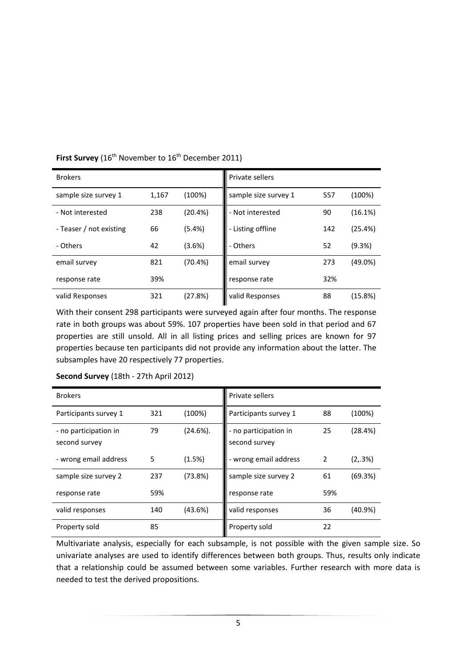| <b>Brokers</b>          |       |            | Private sellers      |     |            |
|-------------------------|-------|------------|----------------------|-----|------------|
| sample size survey 1    | 1,167 | (100%)     | sample size survey 1 | 557 | (100%)     |
| - Not interested        | 238   | (20.4%)    | - Not interested     | 90  | (16.1%)    |
| - Teaser / not existing | 66    | $(5.4\%)$  | - Listing offline    | 142 | (25.4%)    |
| - Others                | 42    | (3.6%)     | - Others             | 52  | (9.3%)     |
| email survey            | 821   | $(70.4\%)$ | email survey         | 273 | $(49.0\%)$ |
| response rate           | 39%   |            | response rate        | 32% |            |
| valid Responses         | 321   | (27.8%)    | valid Responses      | 88  | (15.8%)    |

**First Survey** (16<sup>th</sup> November to 16<sup>th</sup> December 2011)

With their consent 298 participants were surveyed again after four months. The response rate in both groups was about 59%. 107 properties have been sold in that period and 67 properties are still unsold. All in all listing prices and selling prices are known for 97 properties because ten participants did not provide any information about the latter. The subsamples have 20 respectively 77 properties.

| <b>Brokers</b>                         |     |             | Private sellers                        |                |         |
|----------------------------------------|-----|-------------|----------------------------------------|----------------|---------|
| Participants survey 1                  | 321 | (100%)      | Participants survey 1                  | 88             | (100%)  |
| - no participation in<br>second survey | 79  | $(24.6\%).$ | - no participation in<br>second survey | 25             | (28.4%) |
| - wrong email address                  | 5   | (1.5%)      | - wrong email address                  | $\overline{2}$ | (2,3%)  |
| sample size survey 2                   | 237 | (73.8%)     | sample size survey 2                   | 61             | (69.3%) |
| response rate                          | 59% |             | response rate                          | 59%            |         |
| valid responses                        | 140 | (43.6%)     | valid responses                        | 36             | (40.9%) |
| Property sold                          | 85  |             | Property sold                          | 22             |         |

#### **Second Survey** (18th - 27th April 2012)

Multivariate analysis, especially for each subsample, is not possible with the given sample size. So univariate analyses are used to identify differences between both groups. Thus, results only indicate that a relationship could be assumed between some variables. Further research with more data is needed to test the derived propositions.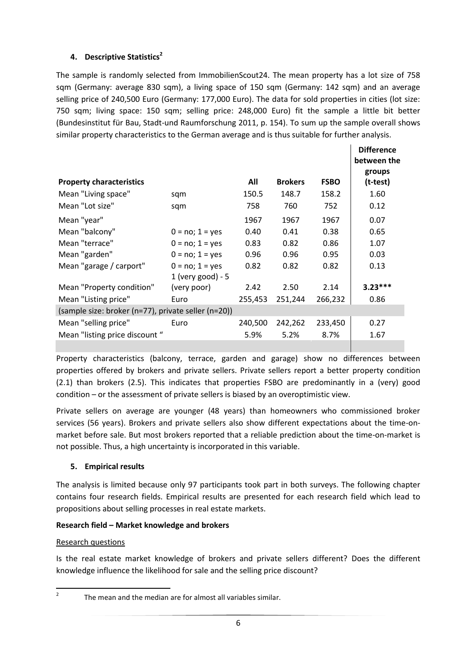# **4. Descriptive Statistics<sup>2</sup>**

The sample is randomly selected from ImmobilienScout24. The mean property has a lot size of 758 sqm (Germany: average 830 sqm), a living space of 150 sqm (Germany: 142 sqm) and an average selling price of 240,500 Euro (Germany: 177,000 Euro). The data for sold properties in cities (lot size: 750 sqm; living space: 150 sqm; selling price: 248,000 Euro) fit the sample a little bit better (Bundesinstitut für Bau, Stadt-und Raumforschung 2011, p. 154). To sum up the sample overall shows similar property characteristics to the German average and is thus suitable for further analysis.

|                                                     |                                        |         |                |             | <b>Difference</b><br>between the |  |
|-----------------------------------------------------|----------------------------------------|---------|----------------|-------------|----------------------------------|--|
| <b>Property characteristics</b>                     |                                        | All     | <b>Brokers</b> | <b>FSBO</b> | groups<br>(t-test)               |  |
| Mean "Living space"                                 | sqm                                    | 150.5   | 148.7          | 158.2       | 1.60                             |  |
| Mean "Lot size"                                     | sqm                                    | 758     | 760            | 752         | 0.12                             |  |
| Mean "year"                                         |                                        | 1967    | 1967           | 1967        | 0.07                             |  |
| Mean "balcony"                                      | $0 = no; 1 = yes$                      | 0.40    | 0.41           | 0.38        | 0.65                             |  |
| Mean "terrace"                                      | $0 = no; 1 = yes$                      | 0.83    | 0.82           | 0.86        | 1.07                             |  |
| Mean "garden"                                       | $0 = no; 1 = yes$                      | 0.96    | 0.96           | 0.95        | 0.03                             |  |
| Mean "garage / carport"                             | $0 = no; 1 = yes$<br>1 (very good) - 5 | 0.82    | 0.82           | 0.82        | 0.13                             |  |
| Mean "Property condition"                           | (very poor)                            | 2.42    | 2.50           | 2.14        | $3.23***$                        |  |
| Mean "Listing price"                                | Euro                                   | 255,453 | 251,244        | 266,232     | 0.86                             |  |
| (sample size: broker (n=77), private seller (n=20)) |                                        |         |                |             |                                  |  |
| Mean "selling price"                                | Euro                                   | 240,500 | 242,262        | 233,450     | 0.27                             |  |
| Mean "listing price discount"                       |                                        | 5.9%    | 5.2%           | 8.7%        | 1.67                             |  |

Property characteristics (balcony, terrace, garden and garage) show no differences between properties offered by brokers and private sellers. Private sellers report a better property condition (2.1) than brokers (2.5). This indicates that properties FSBO are predominantly in a (very) good condition – or the assessment of private sellers is biased by an overoptimistic view.

Private sellers on average are younger (48 years) than homeowners who commissioned broker services (56 years). Brokers and private sellers also show different expectations about the time-onmarket before sale. But most brokers reported that a reliable prediction about the time-on-market is not possible. Thus, a high uncertainty is incorporated in this variable.

### **5. Empirical results**

The analysis is limited because only 97 participants took part in both surveys. The following chapter contains four research fields. Empirical results are presented for each research field which lead to propositions about selling processes in real estate markets.

### **Research field – Market knowledge and brokers**

#### Research questions

Is the real estate market knowledge of brokers and private sellers different? Does the different knowledge influence the likelihood for sale and the selling price discount?

 $\frac{1}{2}$ 

The mean and the median are for almost all variables similar.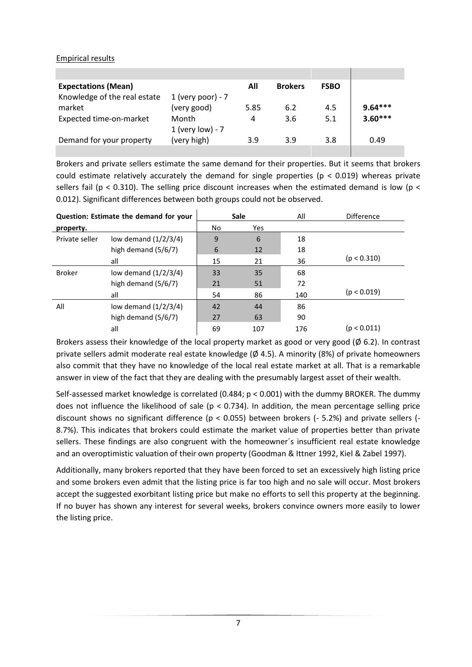Empirical results

| <b>Expectations (Mean)</b>   |                     | All  | <b>Brokers</b> | <b>FSBO</b> |           |
|------------------------------|---------------------|------|----------------|-------------|-----------|
| Knowledge of the real estate | 1 (very poor) - $7$ |      |                |             |           |
| market                       | (very good)         | 5.85 | 6.2            | 4.5         | $9.64***$ |
| Expected time-on-market      | Month               | 4    | 3.6            | 5.1         | $3.60***$ |
|                              | 1 (very low) - 7    |      |                |             |           |
| Demand for your property     | (very high)         | 3.9  | 3.9            | 3.8         | 0.49      |
|                              |                     |      |                |             |           |

Brokers and private sellers estimate the same demand for their properties. But it seems that brokers could estimate relatively accurately the demand for single properties ( $p < 0.019$ ) whereas private sellers fail ( $p < 0.310$ ). The selling price discount increases when the estimated demand is low ( $p <$ 0.012). Significant differences between both groups could not be observed.

| Question: Estimate the demand for your |                        | <b>Sale</b> |     | All | <b>Difference</b> |
|----------------------------------------|------------------------|-------------|-----|-----|-------------------|
| property.                              |                        | No.         | Yes |     |                   |
| Private seller                         | low demand $(1/2/3/4)$ | 9           | 6   | 18  |                   |
|                                        | high demand $(5/6/7)$  | 6           | 12  | 18  |                   |
|                                        | all                    | 15          | 21  | 36  | (p < 0.310)       |
| <b>Broker</b>                          | low demand $(1/2/3/4)$ | 33          | 35  | 68  |                   |
|                                        | high demand (5/6/7)    | 21          | 51  | 72  |                   |
|                                        | all                    | 54          | 86  | 140 | (p < 0.019)       |
| All                                    | low demand $(1/2/3/4)$ | 42          | 44  | 86  |                   |
|                                        | high demand $(5/6/7)$  | 27          | 63  | 90  |                   |
|                                        | all                    | 69          | 107 | 176 | (p < 0.011)       |

Brokers assess their knowledge of the local property market as good or very good ( $\emptyset$  6.2). In contrast private sellers admit moderate real estate knowledge ( $\varnothing$  4.5). A minority (8%) of private homeowners also commit that they have no knowledge of the local real estate market at all. That is a remarkable answer in view of the fact that they are dealing with the presumably largest asset of their wealth.

Self-assessed market knowledge is correlated (0.484; p < 0.001) with the dummy BROKER. The dummy does not influence the likelihood of sale ( $p < 0.734$ ). In addition, the mean percentage selling price discount shows no significant difference (p < 0.055) between brokers (- 5.2%) and private sellers (- 8.7%). This indicates that brokers could estimate the market value of properties better than private sellers. These findings are also congruent with the homeowner´s insufficient real estate knowledge and an overoptimistic valuation of their own property (Goodman & Ittner 1992, Kiel & Zabel 1997).

Additionally, many brokers reported that they have been forced to set an excessively high listing price and some brokers even admit that the listing price is far too high and no sale will occur. Most brokers accept the suggested exorbitant listing price but make no efforts to sell this property at the beginning. If no buyer has shown any interest for several weeks, brokers convince owners more easily to lower the listing price.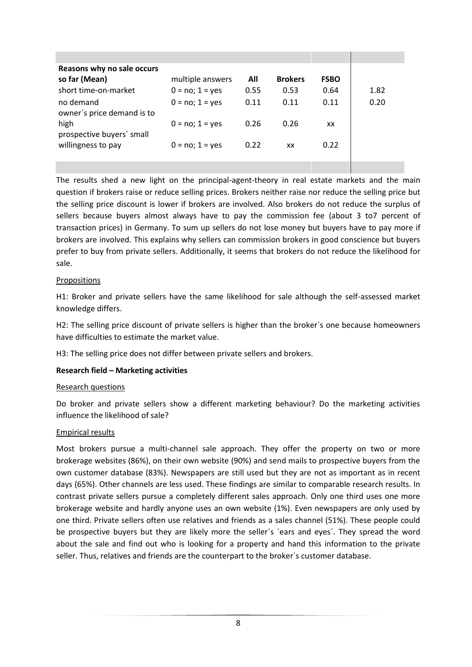| Reasons why no sale occurs              |                   |      |                |             |      |
|-----------------------------------------|-------------------|------|----------------|-------------|------|
| so far (Mean)                           | multiple answers  | All  | <b>Brokers</b> | <b>FSBO</b> |      |
| short time-on-market                    | $0 = no; 1 = yes$ | 0.55 | 0.53           | 0.64        | 1.82 |
| no demand<br>owner's price demand is to | $0 = no; 1 = yes$ | 0.11 | 0.11           | 0.11        | 0.20 |
| high<br>prospective buyers' small       | $0 = no; 1 = yes$ | 0.26 | 0.26           | XX          |      |
| willingness to pay                      | $0 = no; 1 = yes$ | 0.22 | XX             | 0.22        |      |
|                                         |                   |      |                |             |      |

The results shed a new light on the principal-agent-theory in real estate markets and the main question if brokers raise or reduce selling prices. Brokers neither raise nor reduce the selling price but the selling price discount is lower if brokers are involved. Also brokers do not reduce the surplus of sellers because buyers almost always have to pay the commission fee (about 3 to7 percent of transaction prices) in Germany. To sum up sellers do not lose money but buyers have to pay more if brokers are involved. This explains why sellers can commission brokers in good conscience but buyers prefer to buy from private sellers. Additionally, it seems that brokers do not reduce the likelihood for sale.

#### Propositions

H1: Broker and private sellers have the same likelihood for sale although the self-assessed market knowledge differs.

H2: The selling price discount of private sellers is higher than the broker´s one because homeowners have difficulties to estimate the market value.

H3: The selling price does not differ between private sellers and brokers.

### **Research field – Marketing activities**

#### Research questions

Do broker and private sellers show a different marketing behaviour? Do the marketing activities influence the likelihood of sale?

#### Empirical results

Most brokers pursue a multi-channel sale approach. They offer the property on two or more brokerage websites (86%), on their own website (90%) and send mails to prospective buyers from the own customer database (83%). Newspapers are still used but they are not as important as in recent days (65%). Other channels are less used. These findings are similar to comparable research results. In contrast private sellers pursue a completely different sales approach. Only one third uses one more brokerage website and hardly anyone uses an own website (1%). Even newspapers are only used by one third. Private sellers often use relatives and friends as a sales channel (51%). These people could be prospective buyers but they are likely more the seller´s ´ears and eyes´. They spread the word about the sale and find out who is looking for a property and hand this information to the private seller. Thus, relatives and friends are the counterpart to the broker´s customer database.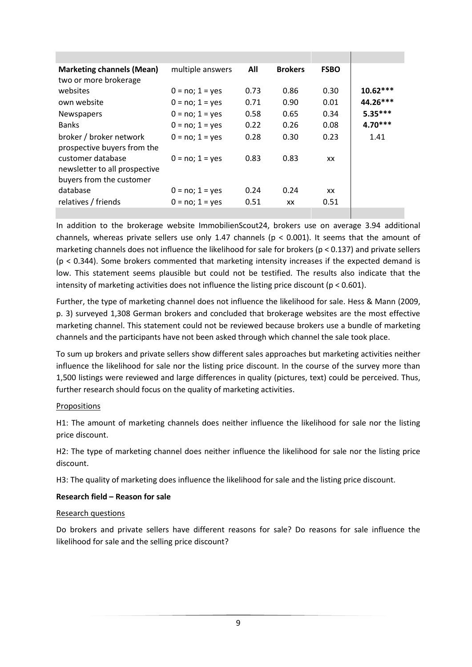| <b>Marketing channels (Mean)</b><br>two or more brokerage                      | multiple answers  | All  | <b>Brokers</b> | <b>FSBO</b> |            |
|--------------------------------------------------------------------------------|-------------------|------|----------------|-------------|------------|
| websites                                                                       | $0 = no; 1 = yes$ | 0.73 | 0.86           | 0.30        | $10.62***$ |
| own website                                                                    | $0 = no; 1 = yes$ | 0.71 | 0.90           | 0.01        | 44.26***   |
| Newspapers                                                                     | $0 = no; 1 = yes$ | 0.58 | 0.65           | 0.34        | $5.35***$  |
| <b>Banks</b>                                                                   | $0 = no; 1 = yes$ | 0.22 | 0.26           | 0.08        | $4.70***$  |
| broker / broker network<br>prospective buyers from the                         | $0 = no; 1 = yes$ | 0.28 | 0.30           | 0.23        | 1.41       |
| customer database<br>newsletter to all prospective<br>buyers from the customer | $0 = no; 1 = yes$ | 0.83 | 0.83           | XX          |            |
| database                                                                       | $0 = no; 1 = yes$ | 0.24 | 0.24           | XX          |            |
| relatives / friends                                                            | $0 = no; 1 = yes$ | 0.51 | XX             | 0.51        |            |
|                                                                                |                   |      |                |             |            |

In addition to the brokerage website ImmobilienScout24, brokers use on average 3.94 additional channels, whereas private sellers use only 1.47 channels ( $p < 0.001$ ). It seems that the amount of marketing channels does not influence the likelihood for sale for brokers (p < 0.137) and private sellers (p < 0.344). Some brokers commented that marketing intensity increases if the expected demand is low. This statement seems plausible but could not be testified. The results also indicate that the intensity of marketing activities does not influence the listing price discount (p < 0.601).

Further, the type of marketing channel does not influence the likelihood for sale. Hess & Mann (2009, p. 3) surveyed 1,308 German brokers and concluded that brokerage websites are the most effective marketing channel. This statement could not be reviewed because brokers use a bundle of marketing channels and the participants have not been asked through which channel the sale took place.

To sum up brokers and private sellers show different sales approaches but marketing activities neither influence the likelihood for sale nor the listing price discount. In the course of the survey more than 1,500 listings were reviewed and large differences in quality (pictures, text) could be perceived. Thus, further research should focus on the quality of marketing activities.

#### Propositions

H1: The amount of marketing channels does neither influence the likelihood for sale nor the listing price discount.

H2: The type of marketing channel does neither influence the likelihood for sale nor the listing price discount.

H3: The quality of marketing does influence the likelihood for sale and the listing price discount.

### **Research field – Reason for sale**

#### Research questions

Do brokers and private sellers have different reasons for sale? Do reasons for sale influence the likelihood for sale and the selling price discount?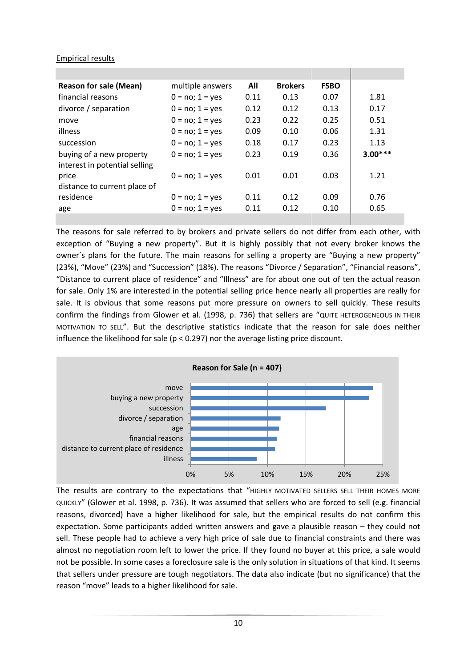### Empirical results

| <b>Reason for sale (Mean)</b> | multiple answers     | All  | <b>Brokers</b> | <b>FSBO</b> |           |
|-------------------------------|----------------------|------|----------------|-------------|-----------|
| financial reasons             | $0 = no$ ; $1 = yes$ | 0.11 | 0.13           | 0.07        | 1.81      |
| divorce / separation          | $0 = no; 1 = yes$    | 0.12 | 0.12           | 0.13        | 0.17      |
| move                          | $0 = no; 1 = yes$    | 0.23 | 0.22           | 0.25        | 0.51      |
| illness                       | $0 = no; 1 = yes$    | 0.09 | 0.10           | 0.06        | 1.31      |
| succession                    | $0 = no; 1 = yes$    | 0.18 | 0.17           | 0.23        | 1.13      |
| buying of a new property      | $0 = no; 1 = yes$    | 0.23 | 0.19           | 0.36        | $3.00***$ |
| interest in potential selling |                      |      |                |             |           |
| price                         | $0 = no$ ; $1 = yes$ | 0.01 | 0.01           | 0.03        | 1.21      |
| distance to current place of  |                      |      |                |             |           |
| residence                     | $0 = no; 1 = yes$    | 0.11 | 0.12           | 0.09        | 0.76      |
| age                           | $0 = no; 1 = yes$    | 0.11 | 0.12           | 0.10        | 0.65      |
|                               |                      |      |                |             |           |

The reasons for sale referred to by brokers and private sellers do not differ from each other, with exception of "Buying a new property". But it is highly possibly that not every broker knows the owner´s plans for the future. The main reasons for selling a property are "Buying a new property" (23%), "Move" (23%) and "Succession" (18%). The reasons "Divorce / Separation", "Financial reasons", "Distance to current place of residence" and "Illness" are for about one out of ten the actual reason for sale. Only 1% are interested in the potential selling price hence nearly all properties are really for sale. It is obvious that some reasons put more pressure on owners to sell quickly. These results confirm the findings from Glower et al. (1998, p. 736) that sellers are "QUITE HETEROGENEOUS IN THEIR MOTIVATION TO SELL". But the descriptive statistics indicate that the reason for sale does neither influence the likelihood for sale (p < 0.297) nor the average listing price discount.



The results are contrary to the expectations that "HIGHLY MOTIVATED SELLERS SELL THEIR HOMES MORE QUICKLY" (Glower et al. 1998, p. 736). It was assumed that sellers who are forced to sell (e.g. financial reasons, divorced) have a higher likelihood for sale, but the empirical results do not confirm this expectation. Some participants added written answers and gave a plausible reason – they could not sell. These people had to achieve a very high price of sale due to financial constraints and there was almost no negotiation room left to lower the price. If they found no buyer at this price, a sale would not be possible. In some cases a foreclosure sale is the only solution in situations of that kind. It seems that sellers under pressure are tough negotiators. The data also indicate (but no significance) that the reason "move" leads to a higher likelihood for sale.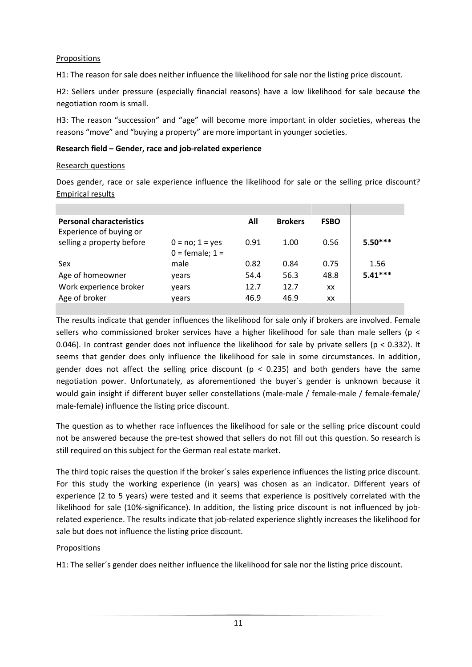### Propositions

H1: The reason for sale does neither influence the likelihood for sale nor the listing price discount.

H2: Sellers under pressure (especially financial reasons) have a low likelihood for sale because the negotiation room is small.

H3: The reason "succession" and "age" will become more important in older societies, whereas the reasons "move" and "buying a property" are more important in younger societies.

### **Research field – Gender, race and job-related experience**

#### Research questions

Does gender, race or sale experience influence the likelihood for sale or the selling price discount? Empirical results

|                                        | All  | <b>Brokers</b> | <b>FSBO</b> |           |
|----------------------------------------|------|----------------|-------------|-----------|
| $0 = no; 1 = yes$<br>$0 = female; 1 =$ | 0.91 | 1.00           | 0.56        | $5.50***$ |
| male                                   | 0.82 | 0.84           | 0.75        | 1.56      |
| vears                                  | 54.4 | 56.3           | 48.8        | $5.41***$ |
| years                                  | 12.7 | 12.7           | XX          |           |
| vears                                  | 46.9 | 46.9           | XX          |           |
|                                        |      |                |             |           |

The results indicate that gender influences the likelihood for sale only if brokers are involved. Female sellers who commissioned broker services have a higher likelihood for sale than male sellers (p < 0.046). In contrast gender does not influence the likelihood for sale by private sellers ( $p < 0.332$ ). It seems that gender does only influence the likelihood for sale in some circumstances. In addition, gender does not affect the selling price discount ( $p < 0.235$ ) and both genders have the same negotiation power. Unfortunately, as aforementioned the buyer´s gender is unknown because it would gain insight if different buyer seller constellations (male-male / female-male / female-female/ male-female) influence the listing price discount.

The question as to whether race influences the likelihood for sale or the selling price discount could not be answered because the pre-test showed that sellers do not fill out this question. So research is still required on this subject for the German real estate market.

The third topic raises the question if the broker´s sales experience influences the listing price discount. For this study the working experience (in years) was chosen as an indicator. Different years of experience (2 to 5 years) were tested and it seems that experience is positively correlated with the likelihood for sale (10%-significance). In addition, the listing price discount is not influenced by jobrelated experience. The results indicate that job-related experience slightly increases the likelihood for sale but does not influence the listing price discount.

### Propositions

H1: The seller´s gender does neither influence the likelihood for sale nor the listing price discount.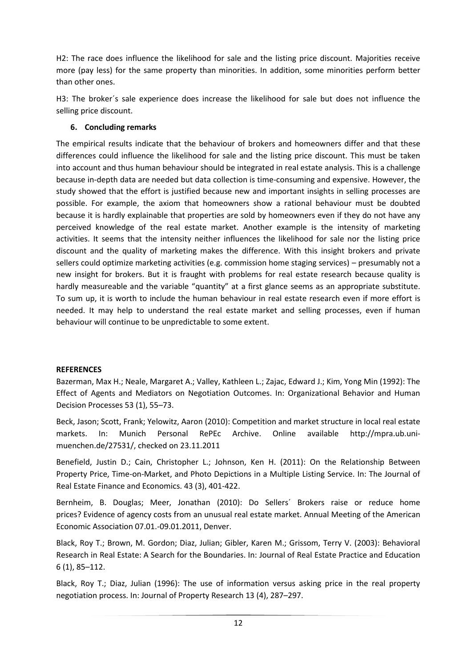H2: The race does influence the likelihood for sale and the listing price discount. Majorities receive more (pay less) for the same property than minorities. In addition, some minorities perform better than other ones.

H3: The broker´s sale experience does increase the likelihood for sale but does not influence the selling price discount.

### **6. Concluding remarks**

The empirical results indicate that the behaviour of brokers and homeowners differ and that these differences could influence the likelihood for sale and the listing price discount. This must be taken into account and thus human behaviour should be integrated in real estate analysis. This is a challenge because in-depth data are needed but data collection is time-consuming and expensive. However, the study showed that the effort is justified because new and important insights in selling processes are possible. For example, the axiom that homeowners show a rational behaviour must be doubted because it is hardly explainable that properties are sold by homeowners even if they do not have any perceived knowledge of the real estate market. Another example is the intensity of marketing activities. It seems that the intensity neither influences the likelihood for sale nor the listing price discount and the quality of marketing makes the difference. With this insight brokers and private sellers could optimize marketing activities (e.g. commission home staging services) – presumably not a new insight for brokers. But it is fraught with problems for real estate research because quality is hardly measureable and the variable "quantity" at a first glance seems as an appropriate substitute. To sum up, it is worth to include the human behaviour in real estate research even if more effort is needed. It may help to understand the real estate market and selling processes, even if human behaviour will continue to be unpredictable to some extent.

### **REFERENCES**

Bazerman, Max H.; Neale, Margaret A.; Valley, Kathleen L.; Zajac, Edward J.; Kim, Yong Min (1992): The Effect of Agents and Mediators on Negotiation Outcomes. In: Organizational Behavior and Human Decision Processes 53 (1), 55–73.

Beck, Jason; Scott, Frank; Yelowitz, Aaron (2010): Competition and market structure in local real estate markets. In: Munich Personal RePEc Archive. Online available http://mpra.ub.unimuenchen.de/27531/, checked on 23.11.2011

Benefield, Justin D.; Cain, Christopher L.; Johnson, Ken H. (2011): On the Relationship Between Property Price, Time-on-Market, and Photo Depictions in a Multiple Listing Service. In: The Journal of Real Estate Finance and Economics. 43 (3), 401-422.

Bernheim, B. Douglas; Meer, Jonathan (2010): Do Sellers´ Brokers raise or reduce home prices? Evidence of agency costs from an unusual real estate market. Annual Meeting of the American Economic Association 07.01.-09.01.2011, Denver.

Black, Roy T.; Brown, M. Gordon; Diaz, Julian; Gibler, Karen M.; Grissom, Terry V. (2003): Behavioral Research in Real Estate: A Search for the Boundaries. In: Journal of Real Estate Practice and Education 6 (1), 85–112.

Black, Roy T.; Diaz, Julian (1996): The use of information versus asking price in the real property negotiation process. In: Journal of Property Research 13 (4), 287–297.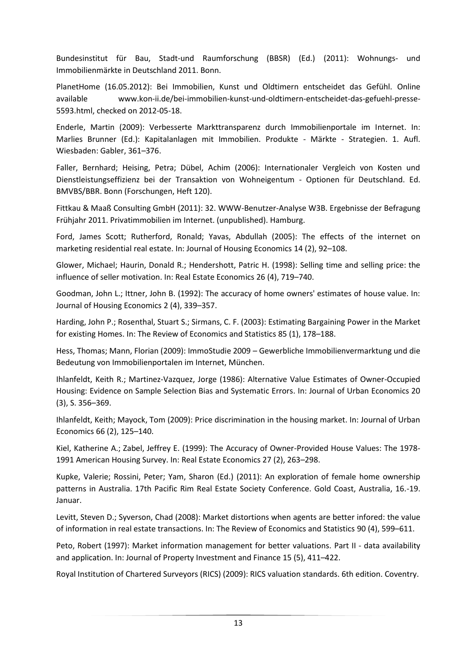Bundesinstitut für Bau, Stadt-und Raumforschung (BBSR) (Ed.) (2011): Wohnungs- und Immobilienmärkte in Deutschland 2011. Bonn.

PlanetHome (16.05.2012): Bei Immobilien, Kunst und Oldtimern entscheidet das Gefühl. Online available www.kon-ii.de/bei-immobilien-kunst-und-oldtimern-entscheidet-das-gefuehl-presse-5593.html, checked on 2012-05-18.

Enderle, Martin (2009): Verbesserte Markttransparenz durch Immobilienportale im Internet. In: Marlies Brunner (Ed.): Kapitalanlagen mit Immobilien. Produkte - Märkte - Strategien. 1. Aufl. Wiesbaden: Gabler, 361–376.

Faller, Bernhard; Heising, Petra; Dübel, Achim (2006): Internationaler Vergleich von Kosten und Dienstleistungseffizienz bei der Transaktion von Wohneigentum - Optionen für Deutschland. Ed. BMVBS/BBR. Bonn (Forschungen, Heft 120).

Fittkau & Maaß Consulting GmbH (2011): 32. WWW-Benutzer-Analyse W3B. Ergebnisse der Befragung Frühjahr 2011. Privatimmobilien im Internet. (unpublished). Hamburg.

Ford, James Scott; Rutherford, Ronald; Yavas, Abdullah (2005): The effects of the internet on marketing residential real estate. In: Journal of Housing Economics 14 (2), 92–108.

Glower, Michael; Haurin, Donald R.; Hendershott, Patric H. (1998): Selling time and selling price: the influence of seller motivation. In: Real Estate Economics 26 (4), 719–740.

Goodman, John L.; Ittner, John B. (1992): The accuracy of home owners' estimates of house value. In: Journal of Housing Economics 2 (4), 339–357.

Harding, John P.; Rosenthal, Stuart S.; Sirmans, C. F. (2003): Estimating Bargaining Power in the Market for existing Homes. In: The Review of Economics and Statistics 85 (1), 178–188.

Hess, Thomas; Mann, Florian (2009): ImmoStudie 2009 – Gewerbliche Immobilienvermarktung und die Bedeutung von Immobilienportalen im Internet, München.

Ihlanfeldt, Keith R.; Martinez-Vazquez, Jorge (1986): Alternative Value Estimates of Owner-Occupied Housing: Evidence on Sample Selection Bias and Systematic Errors. In: Journal of Urban Economics 20 (3), S. 356–369.

Ihlanfeldt, Keith; Mayock, Tom (2009): Price discrimination in the housing market. In: Journal of Urban Economics 66 (2), 125–140.

Kiel, Katherine A.; Zabel, Jeffrey E. (1999): The Accuracy of Owner-Provided House Values: The 1978- 1991 American Housing Survey. In: Real Estate Economics 27 (2), 263–298.

Kupke, Valerie; Rossini, Peter; Yam, Sharon (Ed.) (2011): An exploration of female home ownership patterns in Australia. 17th Pacific Rim Real Estate Society Conference. Gold Coast, Australia, 16.-19. Januar.

Levitt, Steven D.; Syverson, Chad (2008): Market distortions when agents are better infored: the value of information in real estate transactions. In: The Review of Economics and Statistics 90 (4), 599–611.

Peto, Robert (1997): Market information management for better valuations. Part II - data availability and application. In: Journal of Property Investment and Finance 15 (5), 411–422.

Royal Institution of Chartered Surveyors (RICS) (2009): RICS valuation standards. 6th edition. Coventry.